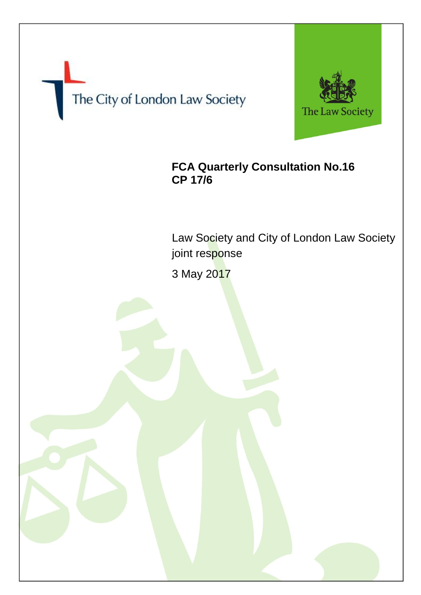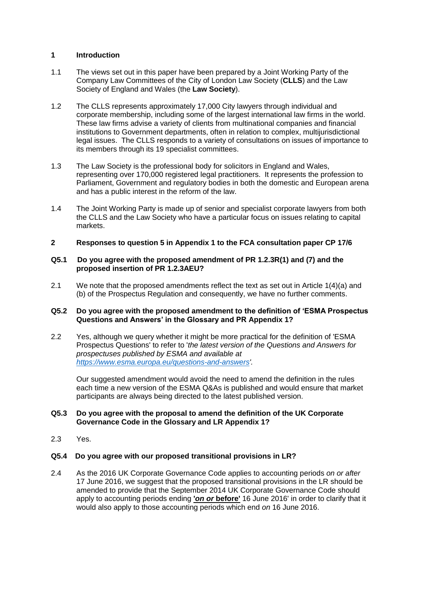## **1 Introduction**

- 1.1 The views set out in this paper have been prepared by a Joint Working Party of the Company Law Committees of the City of London Law Society (**CLLS**) and the Law Society of England and Wales (the **Law Society**).
- 1.2 The CLLS represents approximately 17,000 City lawyers through individual and corporate membership, including some of the largest international law firms in the world. These law firms advise a variety of clients from multinational companies and financial institutions to Government departments, often in relation to complex, multijurisdictional legal issues. The CLLS responds to a variety of consultations on issues of importance to its members through its 19 specialist committees.
- 1.3 The Law Society is the professional body for solicitors in England and Wales, representing over 170,000 registered legal practitioners. It represents the profession to Parliament, Government and regulatory bodies in both the domestic and European arena and has a public interest in the reform of the law.
- 1.4 The Joint Working Party is made up of senior and specialist corporate lawyers from both the CLLS and the Law Society who have a particular focus on issues relating to capital markets.
- **2 Responses to question 5 in Appendix 1 to the FCA consultation paper CP 17/6**

#### **Q5.1 Do you agree with the proposed amendment of PR 1.2.3R(1) and (7) and the proposed insertion of PR 1.2.3AEU?**

2.1 We note that the proposed amendments reflect the text as set out in Article 1(4)(a) and (b) of the Prospectus Regulation and consequently, we have no further comments.

### **Q5.2 Do you agree with the proposed amendment to the definition of 'ESMA Prospectus Questions and Answers' in the Glossary and PR Appendix 1?**

2.2 Yes, although we query whether it might be more practical for the definition of 'ESMA Prospectus Questions' to refer to '*the latest version of the Questions and Answers for prospectuses published by ESMA and available at https://www.esma.europa.eu/questions-and-answers'.* 

Our suggested amendment would avoid the need to amend the definition in the rules each time a new version of the ESMA Q&As is published and would ensure that market participants are always being directed to the latest published version.

### **Q5.3 Do you agree with the proposal to amend the definition of the UK Corporate Governance Code in the Glossary and LR Appendix 1?**

2.3 Yes.

### **Q5.4 Do you agree with our proposed transitional provisions in LR?**

2.4 As the 2016 UK Corporate Governance Code applies to accounting periods *on or after*  17 June 2016, we suggest that the proposed transitional provisions in the LR should be amended to provide that the September 2014 UK Corporate Governance Code should apply to accounting periods ending **'***on or* **before'** 16 June 2016' in order to clarify that it would also apply to those accounting periods which end *on* 16 June 2016.